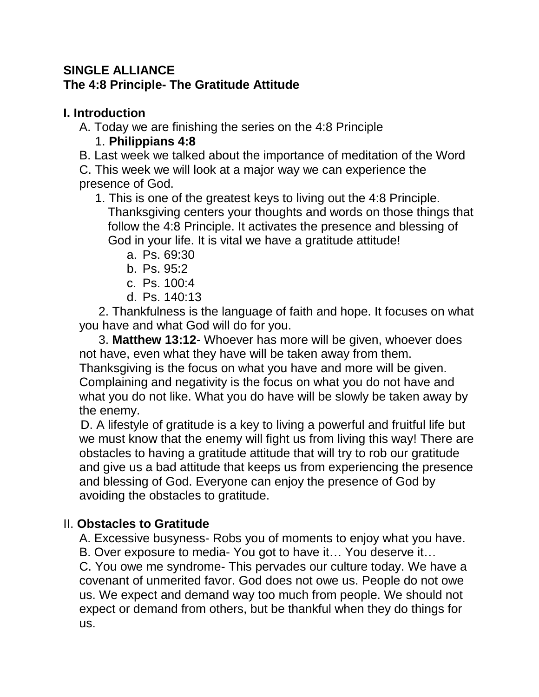## **SINGLE ALLIANCE The 4:8 Principle- The Gratitude Attitude**

## **I. Introduction**

A. Today we are finishing the series on the 4:8 Principle

## 1. **Philippians 4:8**

- B. Last week we talked about the importance of meditation of the Word
- C. This week we will look at a major way we can experience the presence of God.
	- 1. This is one of the greatest keys to living out the 4:8 Principle. Thanksgiving centers your thoughts and words on those things that follow the 4:8 Principle. It activates the presence and blessing of God in your life. It is vital we have a gratitude attitude!
		- a. Ps. 69:30
		- b. Ps. 95:2
		- c. Ps. 100:4
		- d. Ps. 140:13

2. Thankfulness is the language of faith and hope. It focuses on what you have and what God will do for you.

3. **Matthew 13:12**- Whoever has more will be given, whoever does not have, even what they have will be taken away from them.

Thanksgiving is the focus on what you have and more will be given. Complaining and negativity is the focus on what you do not have and what you do not like. What you do have will be slowly be taken away by the enemy.

 D. A lifestyle of gratitude is a key to living a powerful and fruitful life but we must know that the enemy will fight us from living this way! There are obstacles to having a gratitude attitude that will try to rob our gratitude and give us a bad attitude that keeps us from experiencing the presence and blessing of God. Everyone can enjoy the presence of God by avoiding the obstacles to gratitude.

## II. **Obstacles to Gratitude**

A. Excessive busyness- Robs you of moments to enjoy what you have.

B. Over exposure to media- You got to have it… You deserve it…

C. You owe me syndrome- This pervades our culture today. We have a covenant of unmerited favor. God does not owe us. People do not owe us. We expect and demand way too much from people. We should not expect or demand from others, but be thankful when they do things for us.